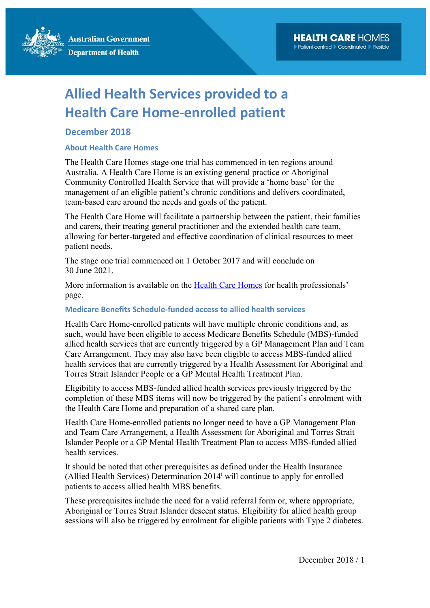**Australian Government Department of Health** 

# Allied Health Services provided to a Health Care Home-enrolled patient

## December 2018

### About Health Care Homes

The Health Care Homes stage one trial has commenced in ten regions around Australia. A Health Care Home is an existing general practice or Aboriginal Community Controlled Health Service that will provide a 'home base' for the management of an eligible patient's chronic conditions and delivers coordinated, team-based care around the needs and goals of the patient.

The Health Care Home will facilitate a partnership between the patient, their families and carers, their treating general practitioner and the extended health care team, allowing for better-targeted and effective coordination of clinical resources to meet patient needs.

The stage one trial commenced on 1 October 2017 and will conclude on 30 June 2021.

More information is available on the Health Care Homes for health professionals' page.

### Medicare Benefits Schedule-funded access to allied health services

Health Care Home-enrolled patients will have multiple chronic conditions and, as such, would have been eligible to access Medicare Benefits Schedule (MBS)-funded allied health services that are currently triggered by a GP Management Plan and Team Care Arrangement. They may also have been eligible to access MBS-funded allied health services that are currently triggered by a Health Assessment for Aboriginal and Torres Strait Islander People or a GP Mental Health Treatment Plan.

Eligibility to access MBS-funded allied health services previously triggered by the completion of these MBS items will now be triggered by the patient's enrolment with the Health Care Home and preparation of a shared care plan.

Health Care Home-enrolled patients no longer need to have a GP Management Plan and Team Care Arrangement, a Health Assessment for Aboriginal and Torres Strait Islander People or a GP Mental Health Treatment Plan to access MBS-funded allied health services.

It should be noted that other prerequisites as defined under the Health Insurance (Allied Health Services) Determination  $2014<sup>i</sup>$  will continue to apply for enrolled patients to access allied health MBS benefits.

These prerequisites include the need for a valid referral form or, where appropriate, Aboriginal or Torres Strait Islander descent status. Eligibility for allied health group sessions will also be triggered by enrolment for eligible patients with Type 2 diabetes.